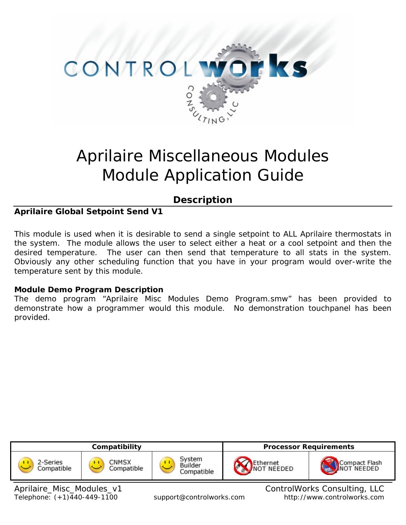

# Aprilaire Miscellaneous Modules Module Application Guide

# **Description**

# **Aprilaire Global Setpoint Send V1**

This module is used when it is desirable to send a single setpoint to ALL Aprilaire thermostats in the system. The module allows the user to select either a heat or a cool setpoint and then the desired temperature. The user can then send that temperature to all stats in the system. Obviously any other scheduling function that you have in your program would over-write the temperature sent by this module.

#### **Module Demo Program Description**

The demo program "Aprilaire Misc Modules Demo Program.smw" has been provided to demonstrate how a programmer would this module. No demonstration touchpanel has been provided.

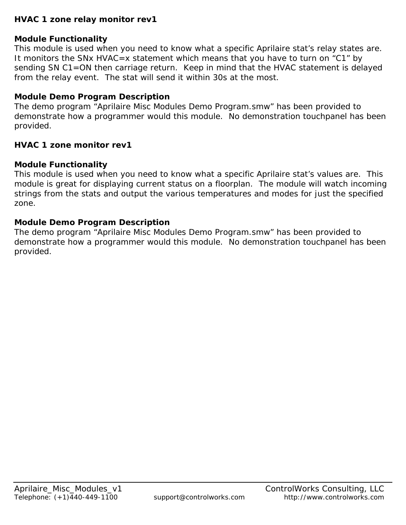## **HVAC 1 zone relay monitor rev1**

## **Module Functionality**

This module is used when you need to know what a specific Aprilaire stat's relay states are. It monitors the SNx HVAC=x statement which means that you have to turn on "C1" by sending SN C1=ON then carriage return. Keep in mind that the HVAC statement is delayed from the relay event. The stat will send it within 30s at the most.

## **Module Demo Program Description**

The demo program "Aprilaire Misc Modules Demo Program.smw" has been provided to demonstrate how a programmer would this module. No demonstration touchpanel has been provided.

#### **HVAC 1 zone monitor rev1**

#### **Module Functionality**

This module is used when you need to know what a specific Aprilaire stat's values are. This module is great for displaying current status on a floorplan. The module will watch incoming strings from the stats and output the various temperatures and modes for just the specified zone.

#### **Module Demo Program Description**

The demo program "Aprilaire Misc Modules Demo Program.smw" has been provided to demonstrate how a programmer would this module. No demonstration touchpanel has been provided.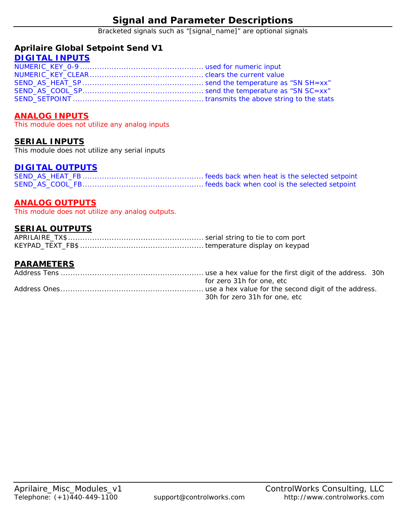Bracketed signals such as "[signal\_name]" are optional signals

#### **Aprilaire Global Setpoint Send V1**

#### **DIGITAL INPUTS**

#### **ANALOG INPUTS**

This module does not utilize any analog inputs

#### **SERIAL INPUTS**

This module does not utilize any serial inputs

#### **DIGITAL OUTPUTS**

#### **ANALOG OUTPUTS**

This module does not utilize any analog outputs.

#### **SERIAL OUTPUTS**

#### **PARAMETERS**

| for zero 31h for one, etc     |
|-------------------------------|
|                               |
| 30h for zero 31h for one, etc |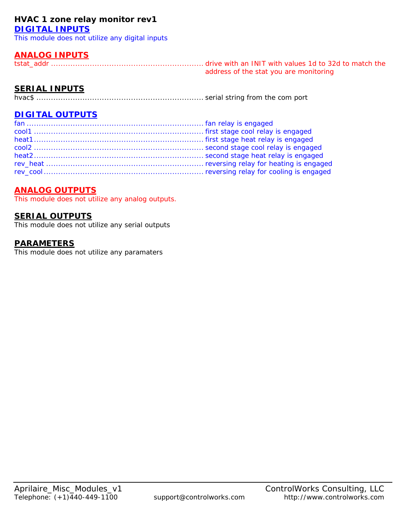#### **HVAC 1 zone relay monitor rev1 DIGITAL INPUTS**

This module does not utilize any digital inputs

## **ANALOG INPUTS**

tstat\_addr ............................................................... drive with an INIT with values 1d to 32d to match the address of the stat you are monitoring

# **SERIAL INPUTS**

hvac\$ ..................................................................... serial string from the com port

# **DIGITAL OUTPUTS**

#### **ANALOG OUTPUTS**

This module does not utilize any analog outputs.

#### **SERIAL OUTPUTS**

This module does not utilize any serial outputs

#### **PARAMETERS**

This module does not utilize any paramaters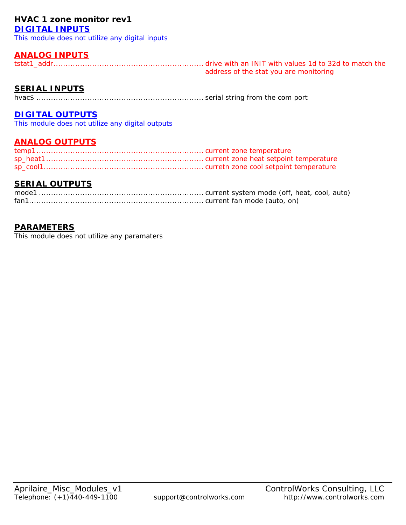#### **HVAC 1 zone monitor rev1 DIGITAL INPUTS**

This module does not utilize any digital inputs

#### **ANALOG INPUTS**

tstat1\_addr.............................................................. drive with an INIT with values 1d to 32d to match the address of the stat you are monitoring

## **SERIAL INPUTS**

hvac\$ ..................................................................... serial string from the com port

#### **DIGITAL OUTPUTS**

This module does not utilize any digital outputs

#### **ANALOG OUTPUTS**

#### **SERIAL OUTPUTS**

#### **PARAMETERS**

This module does not utilize any paramaters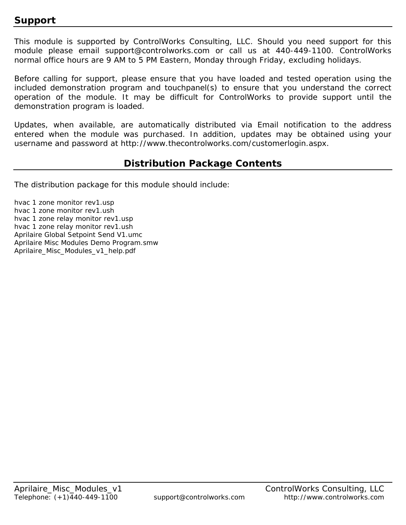# **Support**

This module is supported by ControlWorks Consulting, LLC. Should you need support for this module please email support@controlworks.com or call us at 440-449-1100. ControlWorks normal office hours are 9 AM to 5 PM Eastern, Monday through Friday, excluding holidays.

Before calling for support, please ensure that you have loaded and tested operation using the included demonstration program and touchpanel(s) to ensure that you understand the correct operation of the module. It may be difficult for ControlWorks to provide support until the demonstration program is loaded.

Updates, when available, are automatically distributed via Email notification to the address entered when the module was purchased. In addition, updates may be obtained using your username and password at http://www.thecontrolworks.com/customerlogin.aspx.

# **Distribution Package Contents**

The distribution package for this module should include:

hvac 1 zone monitor rev1.usp hvac 1 zone monitor rev1.ush hvac 1 zone relay monitor rev1.usp hvac 1 zone relay monitor rev1.ush Aprilaire Global Setpoint Send V1.umc Aprilaire Misc Modules Demo Program.smw Aprilaire\_Misc\_Modules\_v1\_help.pdf